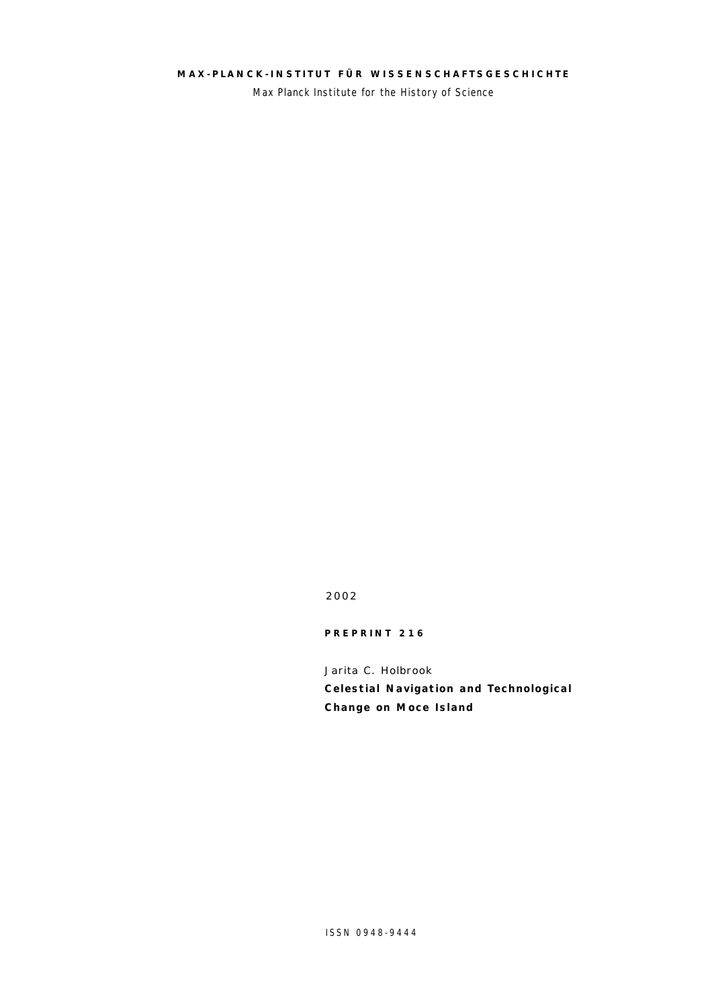# **MAX- PLANCK- INSTITUT FÜR WISSENSCHAFTSGESCH ICHTE**

Max Planck Institute for the History of Science

2002

## **PREPRINT 216**

Jarita C. Holbrook **Celestial Navigation and Technological Change on Moce Island**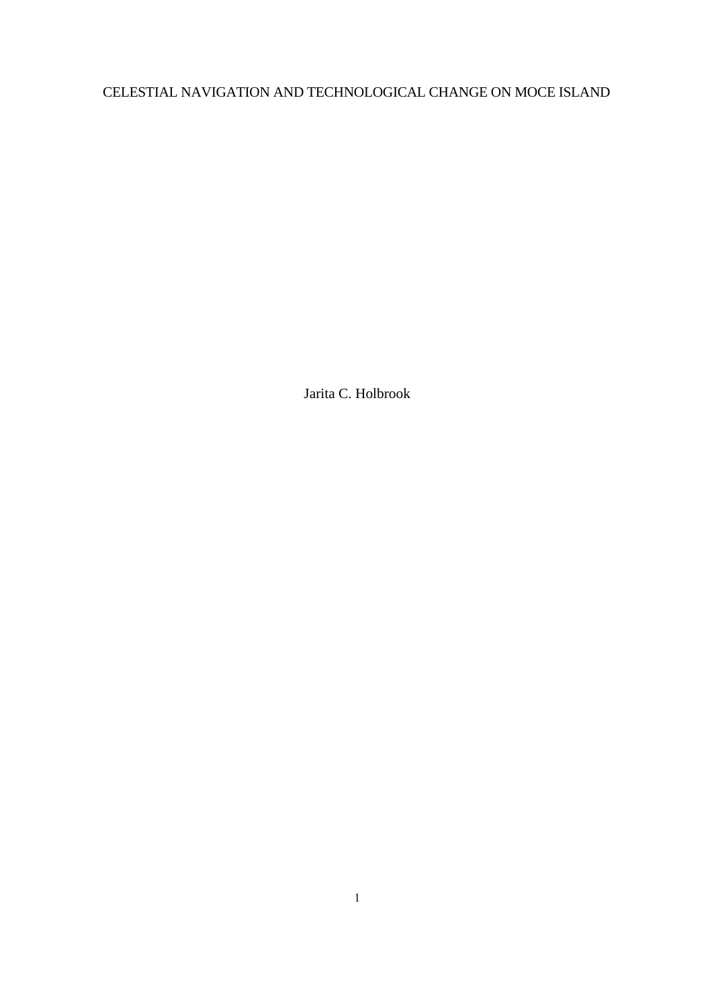# CELESTIAL NAVIGATION AND TECHNOLOGICAL CHANGE ON MOCE ISLAND

Jarita C. Holbrook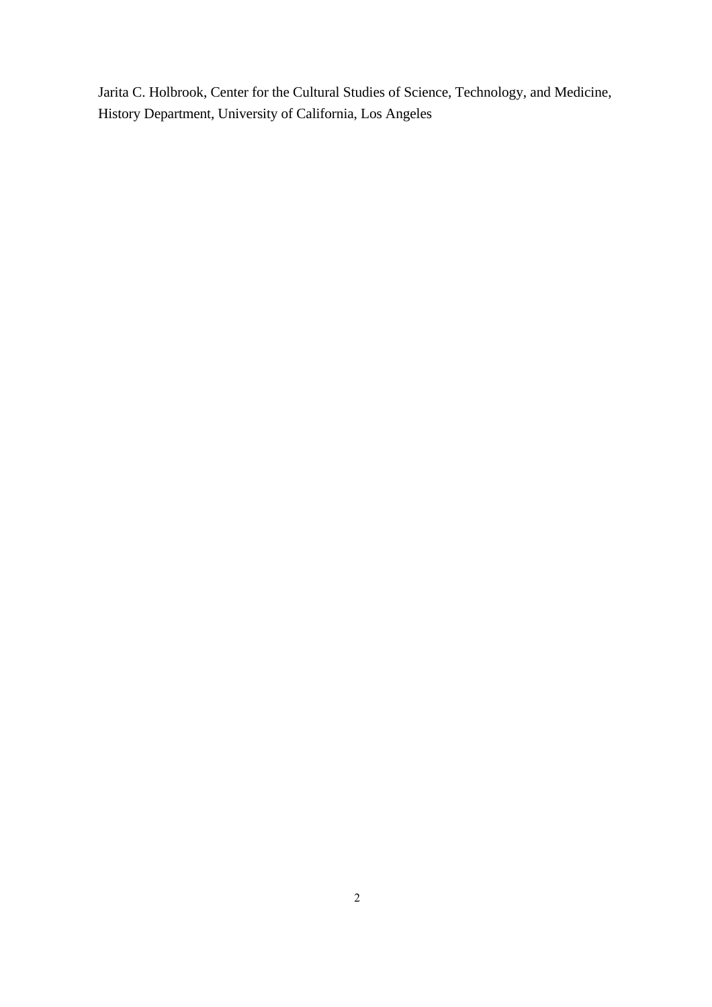Jarita C. Holbrook, Center for the Cultural Studies of Science, Technology, and Medicine, History Department, University of California, Los Angeles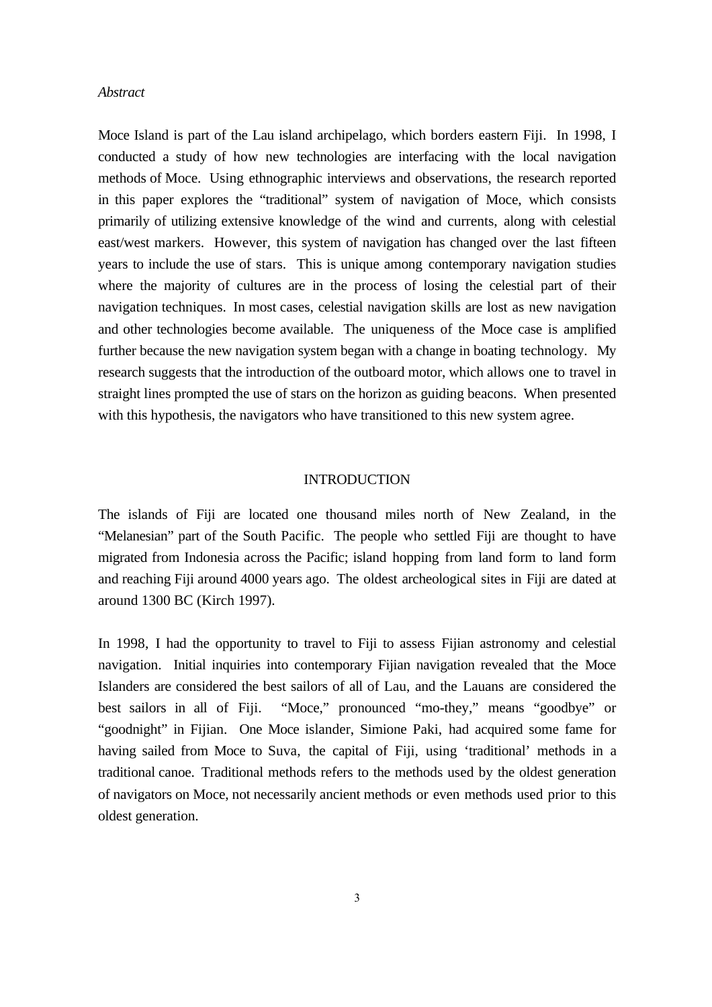### *Abstract*

Moce Island is part of the Lau island archipelago, which borders eastern Fiji. In 1998, I conducted a study of how new technologies are interfacing with the local navigation methods of Moce. Using ethnographic interviews and observations, the research reported in this paper explores the "traditional" system of navigation of Moce, which consists primarily of utilizing extensive knowledge of the wind and currents, along with celestial east/west markers. However, this system of navigation has changed over the last fifteen years to include the use of stars. This is unique among contemporary navigation studies where the majority of cultures are in the process of losing the celestial part of their navigation techniques. In most cases, celestial navigation skills are lost as new navigation and other technologies become available. The uniqueness of the Moce case is amplified further because the new navigation system began with a change in boating technology. My research suggests that the introduction of the outboard motor, which allows one to travel in straight lines prompted the use of stars on the horizon as guiding beacons. When presented with this hypothesis, the navigators who have transitioned to this new system agree.

### INTRODUCTION

The islands of Fiji are located one thousand miles north of New Zealand, in the "Melanesian" part of the South Pacific. The people who settled Fiji are thought to have migrated from Indonesia across the Pacific; island hopping from land form to land form and reaching Fiji around 4000 years ago. The oldest archeological sites in Fiji are dated at around 1300 BC (Kirch 1997).

In 1998, I had the opportunity to travel to Fiji to assess Fijian astronomy and celestial navigation. Initial inquiries into contemporary Fijian navigation revealed that the Moce Islanders are considered the best sailors of all of Lau, and the Lauans are considered the best sailors in all of Fiji. "Moce," pronounced "mo-they," means "goodbye" or "goodnight" in Fijian. One Moce islander, Simione Paki, had acquired some fame for having sailed from Moce to Suva, the capital of Fiji, using 'traditional' methods in a traditional canoe. Traditional methods refers to the methods used by the oldest generation of navigators on Moce, not necessarily ancient methods or even methods used prior to this oldest generation.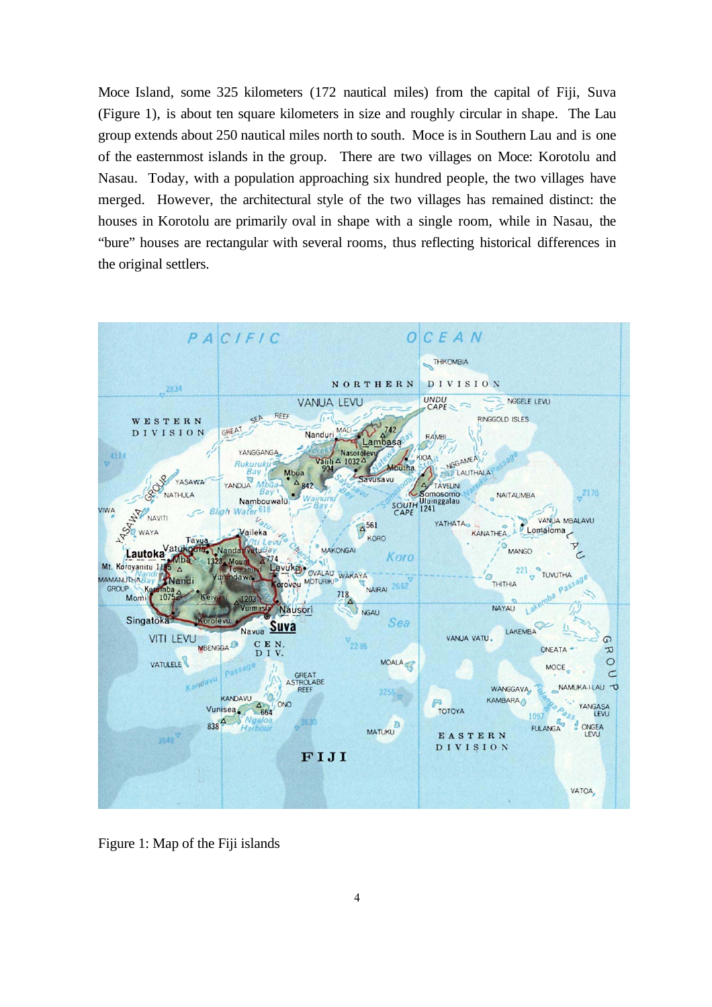Moce Island, some 325 kilometers (172 nautical miles) from the capital of Fiji, Suva (Figure 1), is about ten square kilometers in size and roughly circular in shape. The Lau group extends about 250 nautical miles north to south. Moce is in Southern Lau and is one of the easternmost islands in the group. There are two villages on Moce: Korotolu and Nasau. Today, with a population approaching six hundred people, the two villages have merged. However, the architectural style of the two villages has remained distinct: the houses in Korotolu are primarily oval in shape with a single room, while in Nasau, the "bure" houses are rectangular with several rooms, thus reflecting historical differences in the original settlers.



Figure 1: Map of the Fiji islands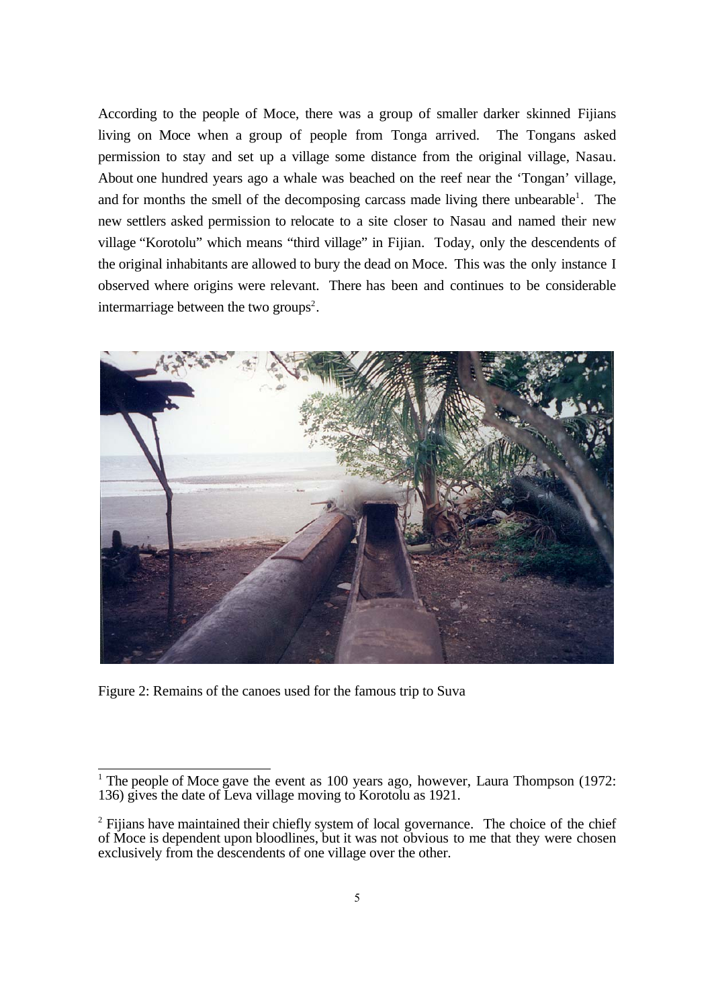According to the people of Moce, there was a group of smaller darker skinned Fijians living on Moce when a group of people from Tonga arrived. The Tongans asked permission to stay and set up a village some distance from the original village, Nasau. About one hundred years ago a whale was beached on the reef near the 'Tongan' village, and for months the smell of the decomposing carcass made living there unbearable<sup>1</sup>. The new settlers asked permission to relocate to a site closer to Nasau and named their new village "Korotolu" which means "third village" in Fijian. Today, only the descendents of the original inhabitants are allowed to bury the dead on Moce. This was the only instance I observed where origins were relevant. There has been and continues to be considerable intermarriage between the two groups<sup>2</sup>.



Figure 2: Remains of the canoes used for the famous trip to Suva

The people of Moce gave the event as 100 years ago, however, Laura Thompson (1972: 136) gives the date of Leva village moving to Korotolu as 1921.

 $2$  Fijians have maintained their chiefly system of local governance. The choice of the chief of Moce is dependent upon bloodlines, but it was not obvious to me that they were chosen exclusively from the descendents of one village over the other.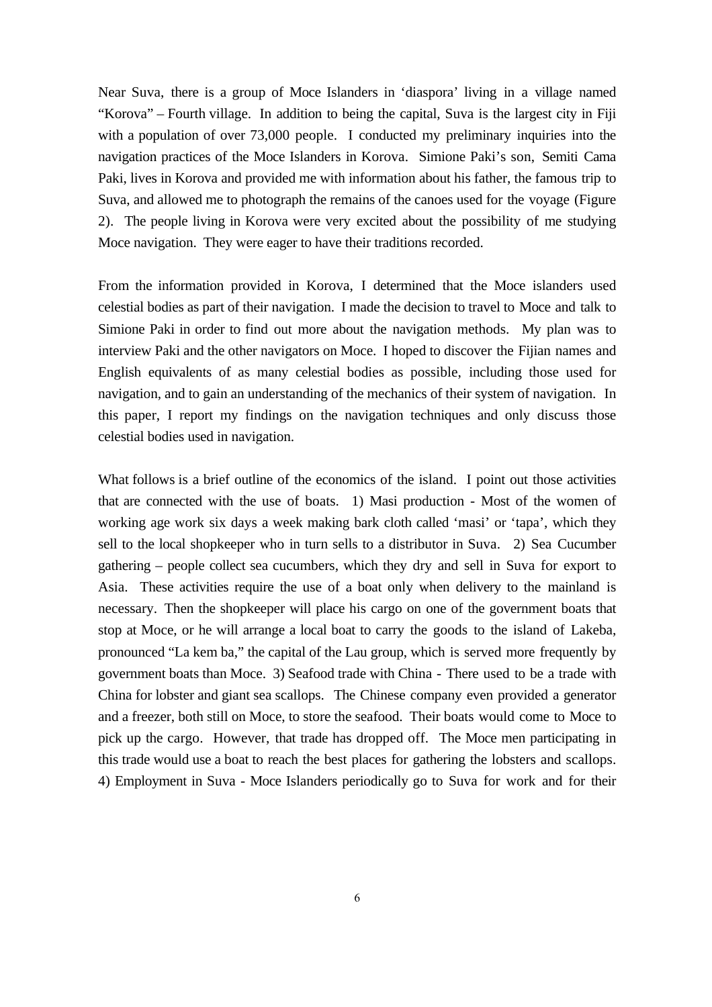Near Suva, there is a group of Moce Islanders in 'diaspora' living in a village named "Korova" – Fourth village. In addition to being the capital, Suva is the largest city in Fiji with a population of over 73,000 people. I conducted my preliminary inquiries into the navigation practices of the Moce Islanders in Korova. Simione Paki's son, Semiti Cama Paki, lives in Korova and provided me with information about his father, the famous trip to Suva, and allowed me to photograph the remains of the canoes used for the voyage (Figure 2). The people living in Korova were very excited about the possibility of me studying Moce navigation. They were eager to have their traditions recorded.

From the information provided in Korova, I determined that the Moce islanders used celestial bodies as part of their navigation. I made the decision to travel to Moce and talk to Simione Paki in order to find out more about the navigation methods. My plan was to interview Paki and the other navigators on Moce. I hoped to discover the Fijian names and English equivalents of as many celestial bodies as possible, including those used for navigation, and to gain an understanding of the mechanics of their system of navigation. In this paper, I report my findings on the navigation techniques and only discuss those celestial bodies used in navigation.

What follows is a brief outline of the economics of the island. I point out those activities that are connected with the use of boats. 1) Masi production - Most of the women of working age work six days a week making bark cloth called 'masi' or 'tapa', which they sell to the local shopkeeper who in turn sells to a distributor in Suva. 2) Sea Cucumber gathering – people collect sea cucumbers, which they dry and sell in Suva for export to Asia. These activities require the use of a boat only when delivery to the mainland is necessary. Then the shopkeeper will place his cargo on one of the government boats that stop at Moce, or he will arrange a local boat to carry the goods to the island of Lakeba, pronounced "La kem ba," the capital of the Lau group, which is served more frequently by government boats than Moce. 3) Seafood trade with China - There used to be a trade with China for lobster and giant sea scallops. The Chinese company even provided a generator and a freezer, both still on Moce, to store the seafood. Their boats would come to Moce to pick up the cargo. However, that trade has dropped off. The Moce men participating in this trade would use a boat to reach the best places for gathering the lobsters and scallops. 4) Employment in Suva - Moce Islanders periodically go to Suva for work and for their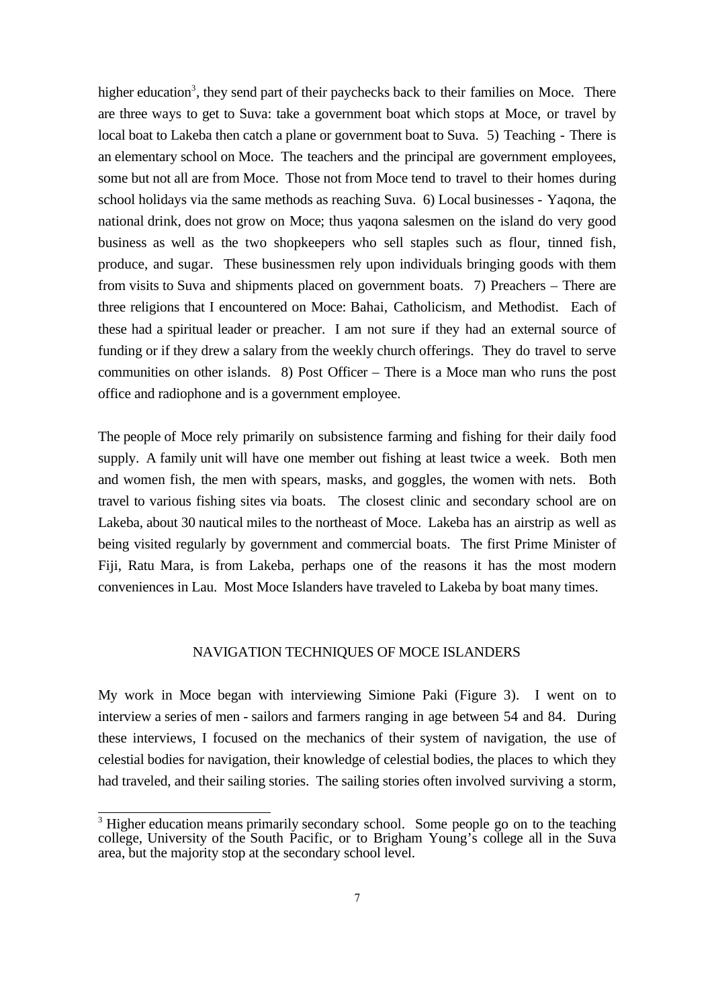higher education<sup>3</sup>, they send part of their paychecks back to their families on Moce. There are three ways to get to Suva: take a government boat which stops at Moce, or travel by local boat to Lakeba then catch a plane or government boat to Suva. 5) Teaching - There is an elementary school on Moce. The teachers and the principal are government employees, some but not all are from Moce. Those not from Moce tend to travel to their homes during school holidays via the same methods as reaching Suva. 6) Local businesses - Yaqona, the national drink, does not grow on Moce; thus yaqona salesmen on the island do very good business as well as the two shopkeepers who sell staples such as flour, tinned fish, produce, and sugar. These businessmen rely upon individuals bringing goods with them from visits to Suva and shipments placed on government boats. 7) Preachers – There are three religions that I encountered on Moce: Bahai, Catholicism, and Methodist. Each of these had a spiritual leader or preacher. I am not sure if they had an external source of funding or if they drew a salary from the weekly church offerings. They do travel to serve communities on other islands. 8) Post Officer – There is a Moce man who runs the post office and radiophone and is a government employee.

The people of Moce rely primarily on subsistence farming and fishing for their daily food supply. A family unit will have one member out fishing at least twice a week. Both men and women fish, the men with spears, masks, and goggles, the women with nets. Both travel to various fishing sites via boats. The closest clinic and secondary school are on Lakeba, about 30 nautical miles to the northeast of Moce. Lakeba has an airstrip as well as being visited regularly by government and commercial boats. The first Prime Minister of Fiji, Ratu Mara, is from Lakeba, perhaps one of the reasons it has the most modern conveniences in Lau. Most Moce Islanders have traveled to Lakeba by boat many times.

## NAVIGATION TECHNIQUES OF MOCE ISLANDERS

My work in Moce began with interviewing Simione Paki (Figure 3). I went on to interview a series of men - sailors and farmers ranging in age between 54 and 84. During these interviews, I focused on the mechanics of their system of navigation, the use of celestial bodies for navigation, their knowledge of celestial bodies, the places to which they had traveled, and their sailing stories. The sailing stories often involved surviving a storm,

<sup>&</sup>lt;sup>3</sup> Higher education means primarily secondary school. Some people go on to the teaching college, University of the South Pacific, or to Brigham Young's college all in the Suva area, but the majority stop at the secondary school level.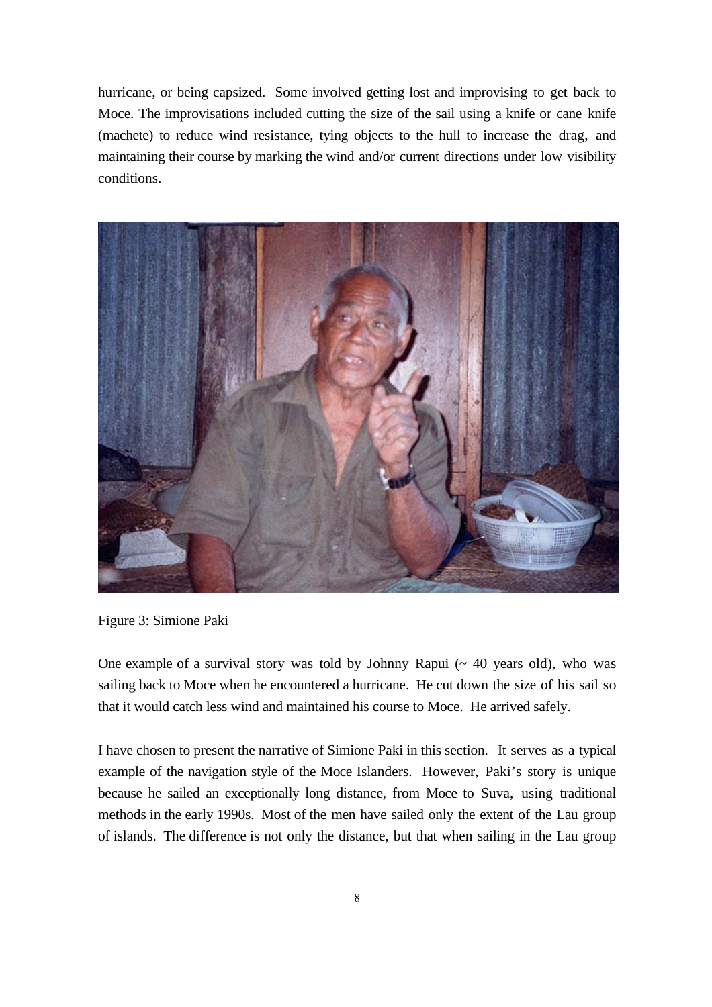hurricane, or being capsized. Some involved getting lost and improvising to get back to Moce. The improvisations included cutting the size of the sail using a knife or cane knife (machete) to reduce wind resistance, tying objects to the hull to increase the drag, and maintaining their course by marking the wind and/or current directions under low visibility conditions.



Figure 3: Simione Paki

One example of a survival story was told by Johnny Rapui  $($   $\sim$  40 years old), who was sailing back to Moce when he encountered a hurricane. He cut down the size of his sail so that it would catch less wind and maintained his course to Moce. He arrived safely.

I have chosen to present the narrative of Simione Paki in this section. It serves as a typical example of the navigation style of the Moce Islanders. However, Paki's story is unique because he sailed an exceptionally long distance, from Moce to Suva, using traditional methods in the early 1990s. Most of the men have sailed only the extent of the Lau group of islands. The difference is not only the distance, but that when sailing in the Lau group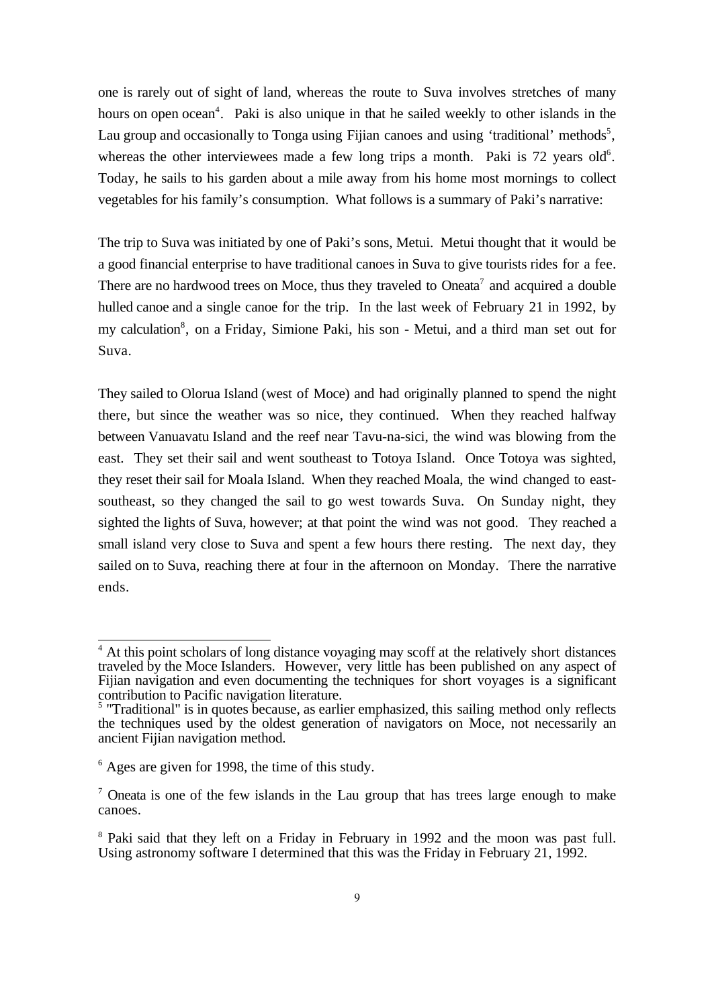one is rarely out of sight of land, whereas the route to Suva involves stretches of many hours on open ocean<sup>4</sup>. Paki is also unique in that he sailed weekly to other islands in the Lau group and occasionally to Tonga using Fijian canoes and using 'traditional' methods<sup>5</sup>, whereas the other interviewees made a few long trips a month. Paki is  $72$  years old<sup>6</sup>. Today, he sails to his garden about a mile away from his home most mornings to collect vegetables for his family's consumption. What follows is a summary of Paki's narrative:

The trip to Suva was initiated by one of Paki's sons, Metui. Metui thought that it would be a good financial enterprise to have traditional canoes in Suva to give tourists rides for a fee. There are no hardwood trees on Moce, thus they traveled to Oneata<sup>7</sup> and acquired a double hulled canoe and a single canoe for the trip. In the last week of February 21 in 1992, by my calculation<sup>8</sup>, on a Friday, Simione Paki, his son - Metui, and a third man set out for Suva.

They sailed to Olorua Island (west of Moce) and had originally planned to spend the night there, but since the weather was so nice, they continued. When they reached halfway between Vanuavatu Island and the reef near Tavu-na-sici, the wind was blowing from the east. They set their sail and went southeast to Totoya Island. Once Totoya was sighted, they reset their sail for Moala Island. When they reached Moala, the wind changed to eastsoutheast, so they changed the sail to go west towards Suva. On Sunday night, they sighted the lights of Suva, however; at that point the wind was not good. They reached a small island very close to Suva and spent a few hours there resting. The next day, they sailed on to Suva, reaching there at four in the afternoon on Monday. There the narrative ends.

<sup>&</sup>lt;sup>4</sup> At this point scholars of long distance voyaging may scoff at the relatively short distances traveled by the Moce Islanders. However, very little has been published on any aspect of Fijian navigation and even documenting the techniques for short voyages is a significant

contribution to Pacific navigation literature. 5 "Traditional" is in quotes because, as earlier emphasized, this sailing method only reflects the techniques used by the oldest generation of navigators on Moce, not necessarily an ancient Fijian navigation method.

<sup>&</sup>lt;sup>6</sup> Ages are given for 1998, the time of this study.

 $<sup>7</sup>$  Oneata is one of the few islands in the Lau group that has trees large enough to make</sup> canoes.

<sup>&</sup>lt;sup>8</sup> Paki said that they left on a Friday in February in 1992 and the moon was past full. Using astronomy software I determined that this was the Friday in February 21, 1992.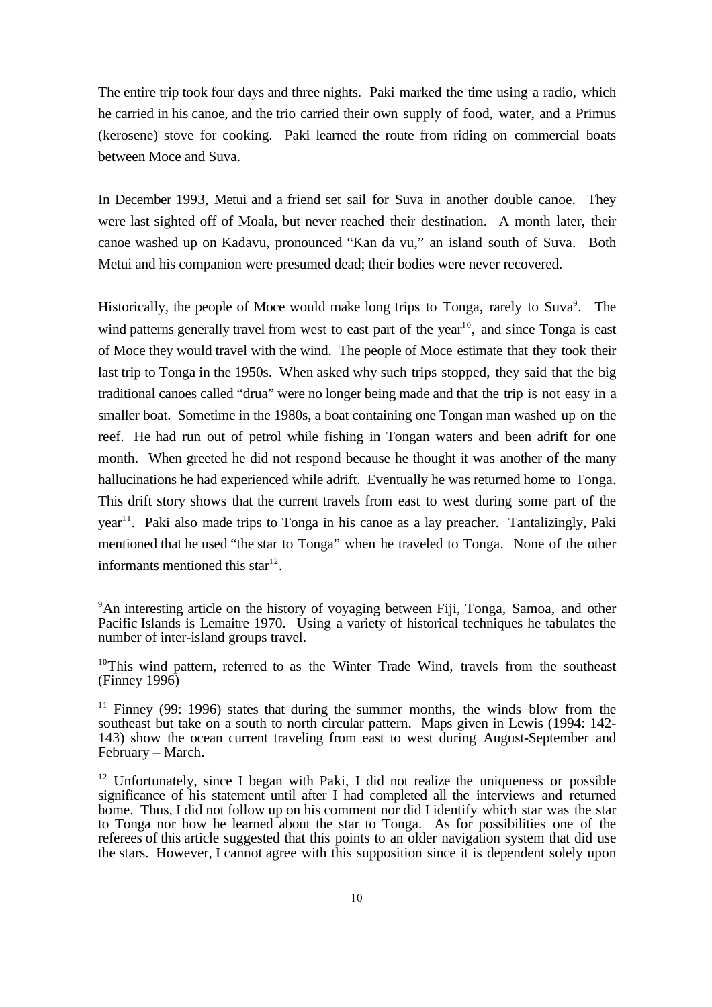The entire trip took four days and three nights. Paki marked the time using a radio, which he carried in his canoe, and the trio carried their own supply of food, water, and a Primus (kerosene) stove for cooking. Paki learned the route from riding on commercial boats between Moce and Suva.

In December 1993, Metui and a friend set sail for Suva in another double canoe. They were last sighted off of Moala, but never reached their destination. A month later, their canoe washed up on Kadavu, pronounced "Kan da vu," an island south of Suva. Both Metui and his companion were presumed dead; their bodies were never recovered.

Historically, the people of Moce would make long trips to Tonga, rarely to Suva<sup>9</sup>. The wind patterns generally travel from west to east part of the year<sup>10</sup>, and since Tonga is east of Moce they would travel with the wind. The people of Moce estimate that they took their last trip to Tonga in the 1950s. When asked why such trips stopped, they said that the big traditional canoes called "drua" were no longer being made and that the trip is not easy in a smaller boat. Sometime in the 1980s, a boat containing one Tongan man washed up on the reef. He had run out of petrol while fishing in Tongan waters and been adrift for one month. When greeted he did not respond because he thought it was another of the many hallucinations he had experienced while adrift. Eventually he was returned home to Tonga. This drift story shows that the current travels from east to west during some part of the year<sup>11</sup>. Paki also made trips to Tonga in his canoe as a lay preacher. Tantalizingly, Paki mentioned that he used "the star to Tonga" when he traveled to Tonga. None of the other informants mentioned this star<sup>12</sup>.

<sup>&</sup>lt;sup>9</sup>An interesting article on the history of voyaging between Fiji, Tonga, Samoa, and other Pacific Islands is Lemaitre 1970. Using a variety of historical techniques he tabulates the number of inter-island groups travel.

 $10$ This wind pattern, referred to as the Winter Trade Wind, travels from the southeast (Finney 1996)

<sup>&</sup>lt;sup>11</sup> Finney (99: 1996) states that during the summer months, the winds blow from the southeast but take on a south to north circular pattern. Maps given in Lewis (1994: 142- 143) show the ocean current traveling from east to west during August-September and February – March.

 $12$  Unfortunately, since I began with Paki, I did not realize the uniqueness or possible significance of his statement until after I had completed all the interviews and returned home. Thus, I did not follow up on his comment nor did I identify which star was the star to Tonga nor how he learned about the star to Tonga. As for possibilities one of the referees of this article suggested that this points to an older navigation system that did use the stars. However, I cannot agree with this supposition since it is dependent solely upon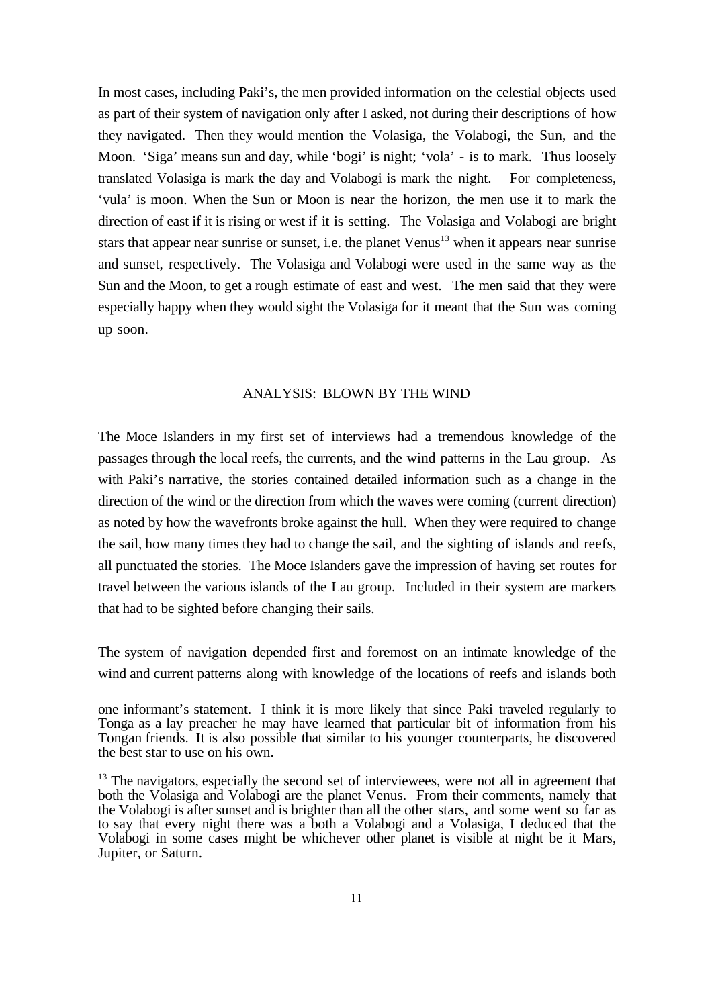In most cases, including Paki's, the men provided information on the celestial objects used as part of their system of navigation only after I asked, not during their descriptions of how they navigated. Then they would mention the Volasiga, the Volabogi, the Sun, and the Moon. 'Siga' means sun and day, while 'bogi' is night; 'vola' - is to mark. Thus loosely translated Volasiga is mark the day and Volabogi is mark the night. For completeness, 'vula' is moon. When the Sun or Moon is near the horizon, the men use it to mark the direction of east if it is rising or west if it is setting. The Volasiga and Volabogi are bright stars that appear near sunrise or sunset, i.e. the planet  $Venus^{13}$  when it appears near sunrise and sunset, respectively. The Volasiga and Volabogi were used in the same way as the Sun and the Moon, to get a rough estimate of east and west. The men said that they were especially happy when they would sight the Volasiga for it meant that the Sun was coming up soon.

### ANALYSIS: BLOWN BY THE WIND

The Moce Islanders in my first set of interviews had a tremendous knowledge of the passages through the local reefs, the currents, and the wind patterns in the Lau group. As with Paki's narrative, the stories contained detailed information such as a change in the direction of the wind or the direction from which the waves were coming (current direction) as noted by how the wavefronts broke against the hull. When they were required to change the sail, how many times they had to change the sail, and the sighting of islands and reefs, all punctuated the stories. The Moce Islanders gave the impression of having set routes for travel between the various islands of the Lau group. Included in their system are markers that had to be sighted before changing their sails.

The system of navigation depended first and foremost on an intimate knowledge of the wind and current patterns along with knowledge of the locations of reefs and islands both

one informant's statement. I think it is more likely that since Paki traveled regularly to Tonga as a lay preacher he may have learned that particular bit of information from his Tongan friends. It is also possible that similar to his younger counterparts, he discovered the best star to use on his own.

 $13$  The navigators, especially the second set of interviewees, were not all in agreement that both the Volasiga and Volabogi are the planet Venus. From their comments, namely that the Volabogi is after sunset and is brighter than all the other stars, and some went so far as to say that every night there was a both a Volabogi and a Volasiga, I deduced that the Volabogi in some cases might be whichever other planet is visible at night be it Mars, Jupiter, or Saturn.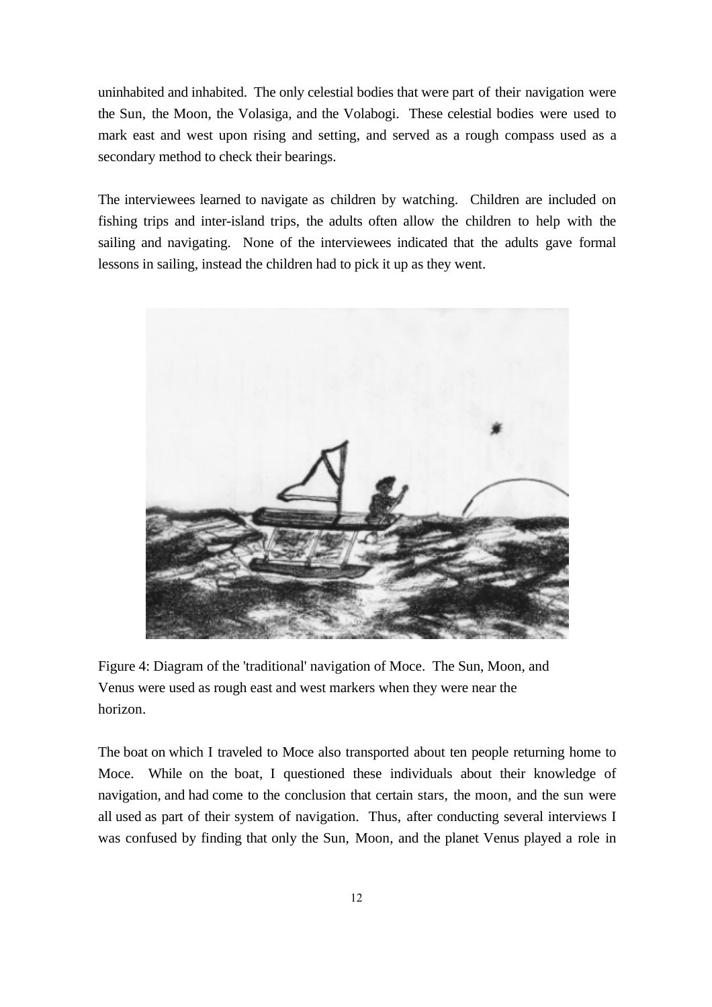uninhabited and inhabited. The only celestial bodies that were part of their navigation were the Sun, the Moon, the Volasiga, and the Volabogi. These celestial bodies were used to mark east and west upon rising and setting, and served as a rough compass used as a secondary method to check their bearings.

The interviewees learned to navigate as children by watching. Children are included on fishing trips and inter-island trips, the adults often allow the children to help with the sailing and navigating. None of the interviewees indicated that the adults gave formal lessons in sailing, instead the children had to pick it up as they went.



Figure 4: Diagram of the 'traditional' navigation of Moce. The Sun, Moon, and Venus were used as rough east and west markers when they were near the horizon.

The boat on which I traveled to Moce also transported about ten people returning home to Moce. While on the boat, I questioned these individuals about their knowledge of navigation, and had come to the conclusion that certain stars, the moon, and the sun were all used as part of their system of navigation. Thus, after conducting several interviews I was confused by finding that only the Sun, Moon, and the planet Venus played a role in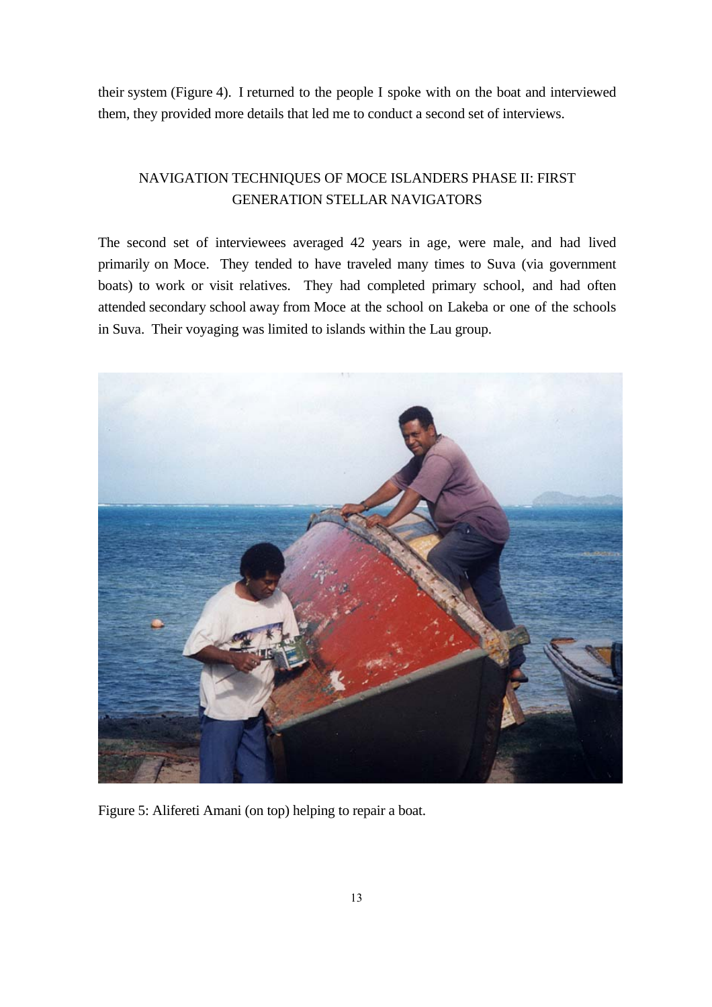their system (Figure 4). I returned to the people I spoke with on the boat and interviewed them, they provided more details that led me to conduct a second set of interviews.

# NAVIGATION TECHNIQUES OF MOCE ISLANDERS PHASE II: FIRST GENERATION STELLAR NAVIGATORS

The second set of interviewees averaged 42 years in age, were male, and had lived primarily on Moce. They tended to have traveled many times to Suva (via government boats) to work or visit relatives. They had completed primary school, and had often attended secondary school away from Moce at the school on Lakeba or one of the schools in Suva. Their voyaging was limited to islands within the Lau group.



Figure 5: Alifereti Amani (on top) helping to repair a boat.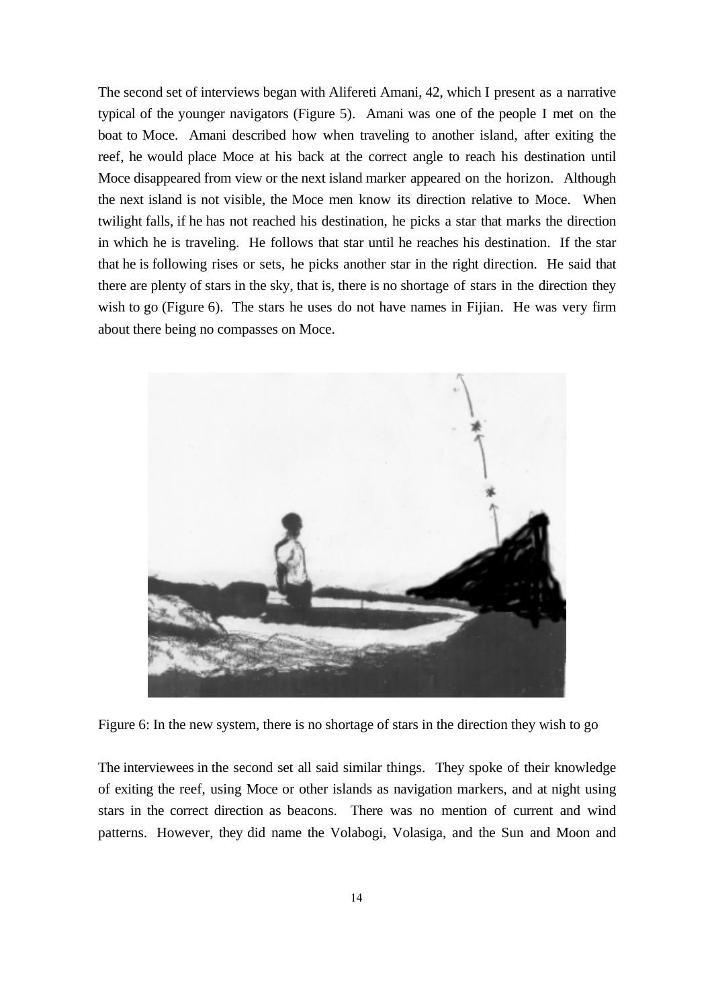The second set of interviews began with Alifereti Amani, 42, which I present as a narrative typical of the younger navigators (Figure 5). Amani was one of the people I met on the boat to Moce. Amani described how when traveling to another island, after exiting the reef, he would place Moce at his back at the correct angle to reach his destination until Moce disappeared from view or the next island marker appeared on the horizon. Although the next island is not visible, the Moce men know its direction relative to Moce. When twilight falls, if he has not reached his destination, he picks a star that marks the direction in which he is traveling. He follows that star until he reaches his destination. If the star that he is following rises or sets, he picks another star in the right direction. He said that there are plenty of stars in the sky, that is, there is no shortage of stars in the direction they wish to go (Figure 6). The stars he uses do not have names in Fijian. He was very firm about there being no compasses on Moce.



Figure 6: In the new system, there is no shortage of stars in the direction they wish to go

The interviewees in the second set all said similar things. They spoke of their knowledge of exiting the reef, using Moce or other islands as navigation markers, and at night using stars in the correct direction as beacons. There was no mention of current and wind patterns. However, they did name the Volabogi, Volasiga, and the Sun and Moon and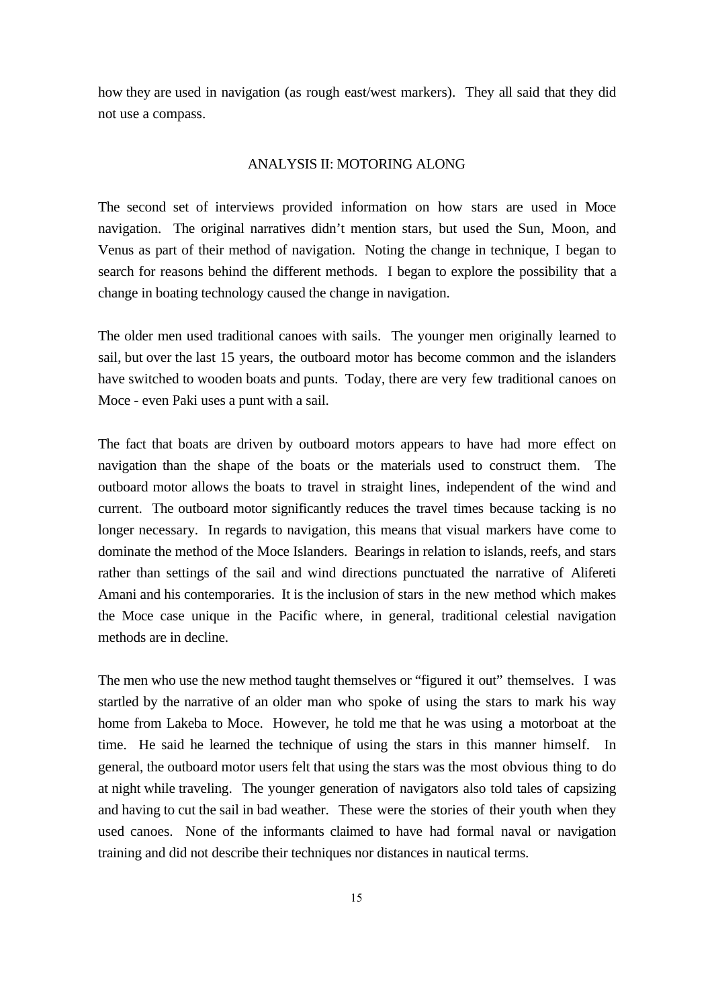how they are used in navigation (as rough east/west markers). They all said that they did not use a compass.

## ANALYSIS II: MOTORING ALONG

The second set of interviews provided information on how stars are used in Moce navigation. The original narratives didn't mention stars, but used the Sun, Moon, and Venus as part of their method of navigation. Noting the change in technique, I began to search for reasons behind the different methods. I began to explore the possibility that a change in boating technology caused the change in navigation.

The older men used traditional canoes with sails. The younger men originally learned to sail, but over the last 15 years, the outboard motor has become common and the islanders have switched to wooden boats and punts. Today, there are very few traditional canoes on Moce - even Paki uses a punt with a sail.

The fact that boats are driven by outboard motors appears to have had more effect on navigation than the shape of the boats or the materials used to construct them. The outboard motor allows the boats to travel in straight lines, independent of the wind and current. The outboard motor significantly reduces the travel times because tacking is no longer necessary. In regards to navigation, this means that visual markers have come to dominate the method of the Moce Islanders. Bearings in relation to islands, reefs, and stars rather than settings of the sail and wind directions punctuated the narrative of Alifereti Amani and his contemporaries. It is the inclusion of stars in the new method which makes the Moce case unique in the Pacific where, in general, traditional celestial navigation methods are in decline.

The men who use the new method taught themselves or "figured it out" themselves. I was startled by the narrative of an older man who spoke of using the stars to mark his way home from Lakeba to Moce. However, he told me that he was using a motorboat at the time. He said he learned the technique of using the stars in this manner himself. In general, the outboard motor users felt that using the stars was the most obvious thing to do at night while traveling. The younger generation of navigators also told tales of capsizing and having to cut the sail in bad weather. These were the stories of their youth when they used canoes. None of the informants claimed to have had formal naval or navigation training and did not describe their techniques nor distances in nautical terms.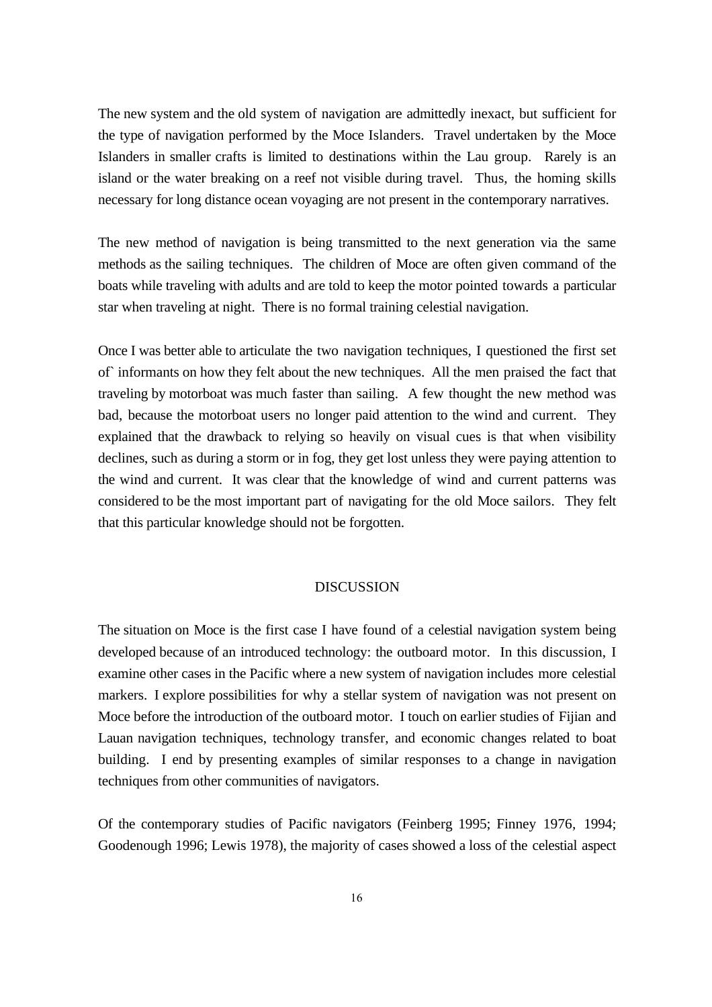The new system and the old system of navigation are admittedly inexact, but sufficient for the type of navigation performed by the Moce Islanders. Travel undertaken by the Moce Islanders in smaller crafts is limited to destinations within the Lau group. Rarely is an island or the water breaking on a reef not visible during travel. Thus, the homing skills necessary for long distance ocean voyaging are not present in the contemporary narratives.

The new method of navigation is being transmitted to the next generation via the same methods as the sailing techniques. The children of Moce are often given command of the boats while traveling with adults and are told to keep the motor pointed towards a particular star when traveling at night. There is no formal training celestial navigation.

Once I was better able to articulate the two navigation techniques, I questioned the first set of` informants on how they felt about the new techniques. All the men praised the fact that traveling by motorboat was much faster than sailing. A few thought the new method was bad, because the motorboat users no longer paid attention to the wind and current. They explained that the drawback to relying so heavily on visual cues is that when visibility declines, such as during a storm or in fog, they get lost unless they were paying attention to the wind and current. It was clear that the knowledge of wind and current patterns was considered to be the most important part of navigating for the old Moce sailors. They felt that this particular knowledge should not be forgotten.

#### DISCUSSION

The situation on Moce is the first case I have found of a celestial navigation system being developed because of an introduced technology: the outboard motor. In this discussion, I examine other cases in the Pacific where a new system of navigation includes more celestial markers. I explore possibilities for why a stellar system of navigation was not present on Moce before the introduction of the outboard motor. I touch on earlier studies of Fijian and Lauan navigation techniques, technology transfer, and economic changes related to boat building. I end by presenting examples of similar responses to a change in navigation techniques from other communities of navigators.

Of the contemporary studies of Pacific navigators (Feinberg 1995; Finney 1976, 1994; Goodenough 1996; Lewis 1978), the majority of cases showed a loss of the celestial aspect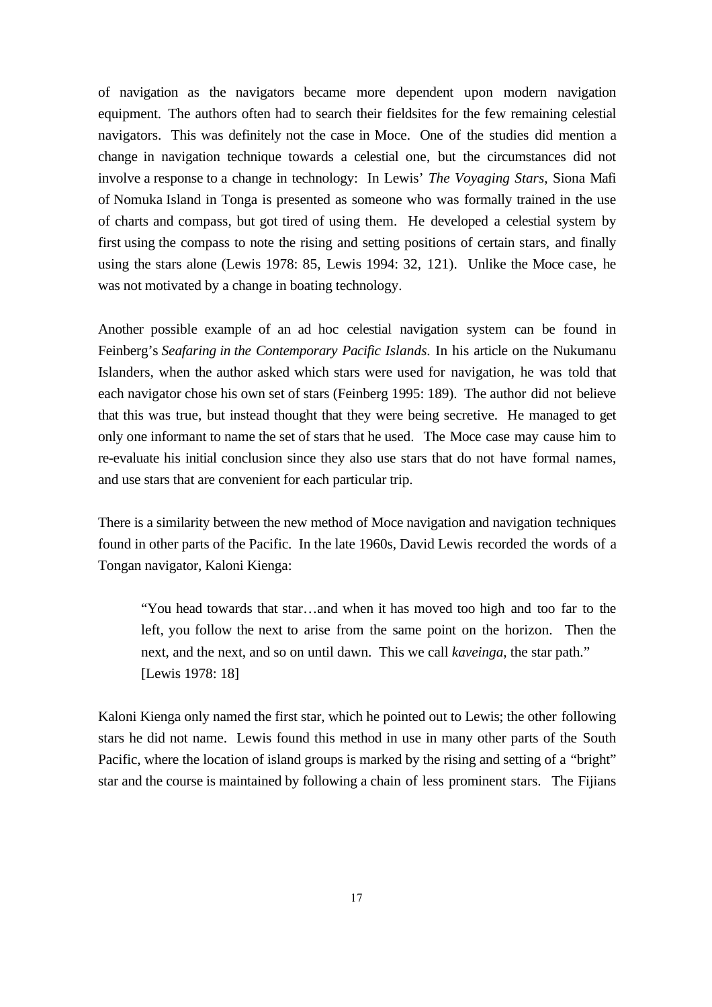of navigation as the navigators became more dependent upon modern navigation equipment. The authors often had to search their fieldsites for the few remaining celestial navigators. This was definitely not the case in Moce. One of the studies did mention a change in navigation technique towards a celestial one, but the circumstances did not involve a response to a change in technology: In Lewis' *The Voyaging Stars*, Siona Mafi of Nomuka Island in Tonga is presented as someone who was formally trained in the use of charts and compass, but got tired of using them. He developed a celestial system by first using the compass to note the rising and setting positions of certain stars, and finally using the stars alone (Lewis 1978: 85, Lewis 1994: 32, 121). Unlike the Moce case, he was not motivated by a change in boating technology.

Another possible example of an ad hoc celestial navigation system can be found in Feinberg's *Seafaring in the Contemporary Pacific Islands.* In his article on the Nukumanu Islanders, when the author asked which stars were used for navigation, he was told that each navigator chose his own set of stars (Feinberg 1995: 189). The author did not believe that this was true, but instead thought that they were being secretive. He managed to get only one informant to name the set of stars that he used. The Moce case may cause him to re-evaluate his initial conclusion since they also use stars that do not have formal names, and use stars that are convenient for each particular trip.

There is a similarity between the new method of Moce navigation and navigation techniques found in other parts of the Pacific. In the late 1960s, David Lewis recorded the words of a Tongan navigator, Kaloni Kienga:

"You head towards that star…and when it has moved too high and too far to the left, you follow the next to arise from the same point on the horizon. Then the next, and the next, and so on until dawn. This we call *kaveinga*, the star path." [Lewis 1978: 18]

Kaloni Kienga only named the first star, which he pointed out to Lewis; the other following stars he did not name. Lewis found this method in use in many other parts of the South Pacific, where the location of island groups is marked by the rising and setting of a "bright" star and the course is maintained by following a chain of less prominent stars. The Fijians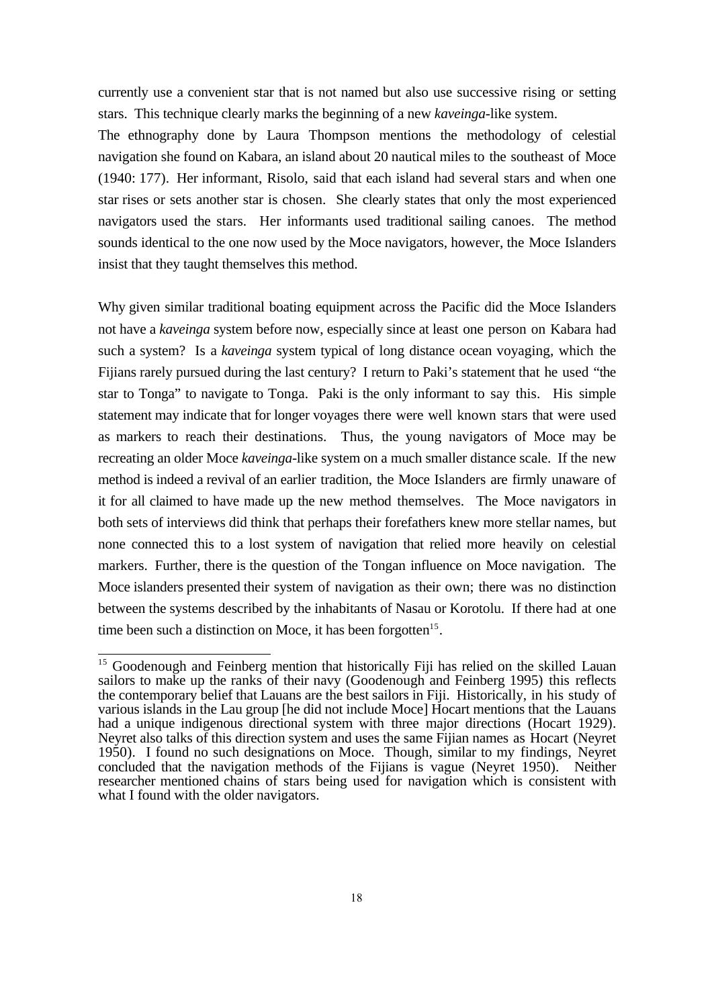currently use a convenient star that is not named but also use successive rising or setting stars. This technique clearly marks the beginning of a new *kaveinga*-like system.

The ethnography done by Laura Thompson mentions the methodology of celestial navigation she found on Kabara, an island about 20 nautical miles to the southeast of Moce (1940: 177). Her informant, Risolo, said that each island had several stars and when one star rises or sets another star is chosen. She clearly states that only the most experienced navigators used the stars. Her informants used traditional sailing canoes. The method sounds identical to the one now used by the Moce navigators, however, the Moce Islanders insist that they taught themselves this method.

Why given similar traditional boating equipment across the Pacific did the Moce Islanders not have a *kaveinga* system before now, especially since at least one person on Kabara had such a system? Is a *kaveinga* system typical of long distance ocean voyaging, which the Fijians rarely pursued during the last century? I return to Paki's statement that he used "the star to Tonga" to navigate to Tonga. Paki is the only informant to say this. His simple statement may indicate that for longer voyages there were well known stars that were used as markers to reach their destinations. Thus, the young navigators of Moce may be recreating an older Moce *kaveinga*-like system on a much smaller distance scale. If the new method is indeed a revival of an earlier tradition, the Moce Islanders are firmly unaware of it for all claimed to have made up the new method themselves. The Moce navigators in both sets of interviews did think that perhaps their forefathers knew more stellar names, but none connected this to a lost system of navigation that relied more heavily on celestial markers. Further, there is the question of the Tongan influence on Moce navigation. The Moce islanders presented their system of navigation as their own; there was no distinction between the systems described by the inhabitants of Nasau or Korotolu. If there had at one time been such a distinction on Moce, it has been forgotten $15$ .

 $\overline{a}$ <sup>15</sup> Goodenough and Feinberg mention that historically Fiji has relied on the skilled Lauan sailors to make up the ranks of their navy (Goodenough and Feinberg 1995) this reflects the contemporary belief that Lauans are the best sailors in Fiji. Historically, in his study of various islands in the Lau group [he did not include Moce] Hocart mentions that the Lauans had a unique indigenous directional system with three major directions (Hocart 1929). Neyret also talks of this direction system and uses the same Fijian names as Hocart (Neyret 1950). I found no such designations on Moce. Though, similar to my findings, Neyret concluded that the navigation methods of the Fijians is vague (Neyret 1950). Neither researcher mentioned chains of stars being used for navigation which is consistent with what I found with the older navigators.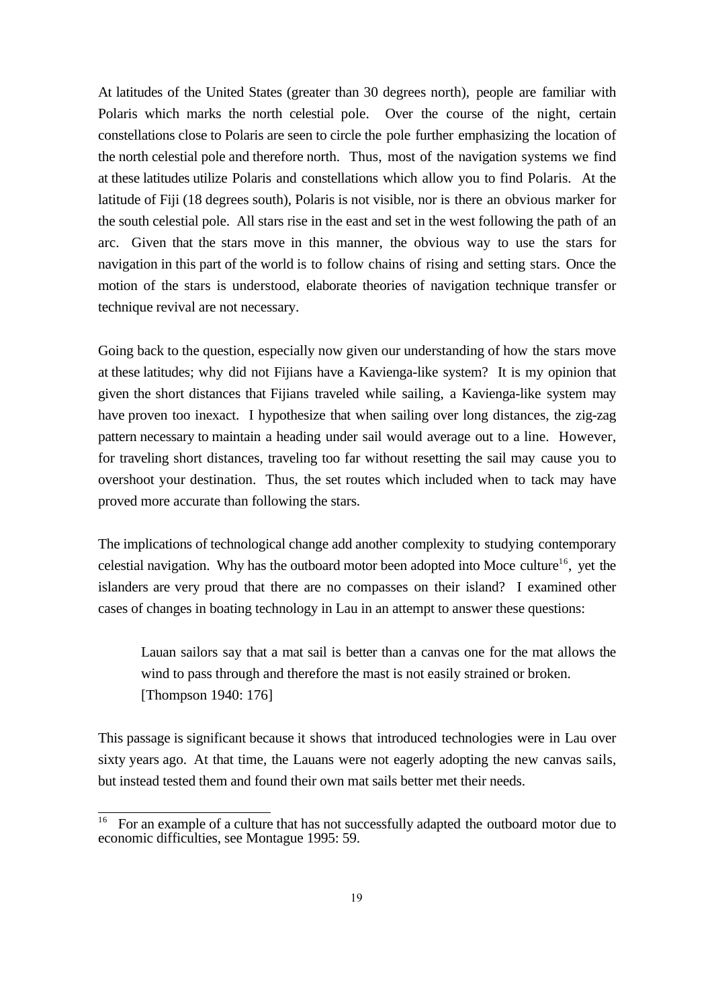At latitudes of the United States (greater than 30 degrees north), people are familiar with Polaris which marks the north celestial pole. Over the course of the night, certain constellations close to Polaris are seen to circle the pole further emphasizing the location of the north celestial pole and therefore north. Thus, most of the navigation systems we find at these latitudes utilize Polaris and constellations which allow you to find Polaris. At the latitude of Fiji (18 degrees south), Polaris is not visible, nor is there an obvious marker for the south celestial pole. All stars rise in the east and set in the west following the path of an arc. Given that the stars move in this manner, the obvious way to use the stars for navigation in this part of the world is to follow chains of rising and setting stars. Once the motion of the stars is understood, elaborate theories of navigation technique transfer or technique revival are not necessary.

Going back to the question, especially now given our understanding of how the stars move at these latitudes; why did not Fijians have a Kavienga-like system? It is my opinion that given the short distances that Fijians traveled while sailing, a Kavienga-like system may have proven too inexact. I hypothesize that when sailing over long distances, the zig-zag pattern necessary to maintain a heading under sail would average out to a line. However, for traveling short distances, traveling too far without resetting the sail may cause you to overshoot your destination. Thus, the set routes which included when to tack may have proved more accurate than following the stars.

The implications of technological change add another complexity to studying contemporary celestial navigation. Why has the outboard motor been adopted into Moce culture<sup>16</sup>, yet the islanders are very proud that there are no compasses on their island? I examined other cases of changes in boating technology in Lau in an attempt to answer these questions:

Lauan sailors say that a mat sail is better than a canvas one for the mat allows the wind to pass through and therefore the mast is not easily strained or broken. [Thompson 1940: 176]

This passage is significant because it shows that introduced technologies were in Lau over sixty years ago. At that time, the Lauans were not eagerly adopting the new canvas sails, but instead tested them and found their own mat sails better met their needs.

 $\overline{a}$ <sup>16</sup> For an example of a culture that has not successfully adapted the outboard motor due to economic difficulties, see Montague 1995: 59.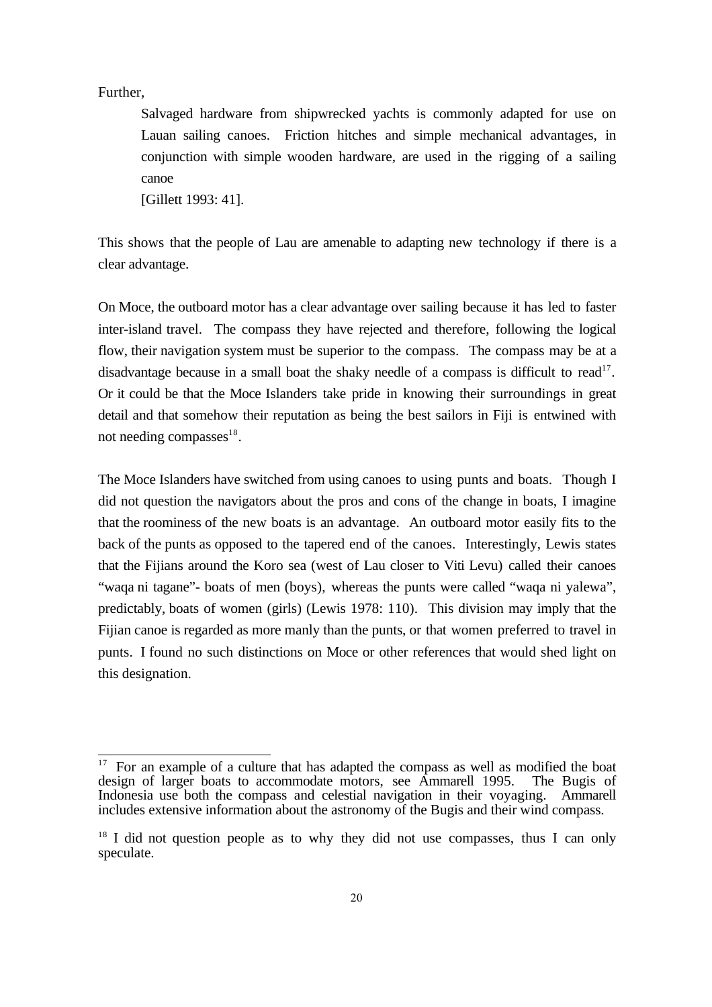Further,

Salvaged hardware from shipwrecked yachts is commonly adapted for use on Lauan sailing canoes. Friction hitches and simple mechanical advantages, in conjunction with simple wooden hardware, are used in the rigging of a sailing canoe

[Gillett 1993: 41].

This shows that the people of Lau are amenable to adapting new technology if there is a clear advantage.

On Moce, the outboard motor has a clear advantage over sailing because it has led to faster inter-island travel. The compass they have rejected and therefore, following the logical flow, their navigation system must be superior to the compass. The compass may be at a disadvantage because in a small boat the shaky needle of a compass is difficult to read<sup>17</sup>. Or it could be that the Moce Islanders take pride in knowing their surroundings in great detail and that somehow their reputation as being the best sailors in Fiji is entwined with not needing compasses $18$ .

The Moce Islanders have switched from using canoes to using punts and boats. Though I did not question the navigators about the pros and cons of the change in boats, I imagine that the roominess of the new boats is an advantage. An outboard motor easily fits to the back of the punts as opposed to the tapered end of the canoes. Interestingly, Lewis states that the Fijians around the Koro sea (west of Lau closer to Viti Levu) called their canoes "waqa ni tagane"- boats of men (boys), whereas the punts were called "waqa ni yalewa", predictably, boats of women (girls) (Lewis 1978: 110). This division may imply that the Fijian canoe is regarded as more manly than the punts, or that women preferred to travel in punts. I found no such distinctions on Moce or other references that would shed light on this designation.

 $\overline{a}$  $17$  For an example of a culture that has adapted the compass as well as modified the boat design of larger boats to accommodate motors, see Ammarell 1995. The Bugis of Indonesia use both the compass and celestial navigation in their voyaging. Ammarell Indonesia use both the compass and celestial navigation in their voyaging. includes extensive information about the astronomy of the Bugis and their wind compass.

 $18$  I did not question people as to why they did not use compasses, thus I can only speculate.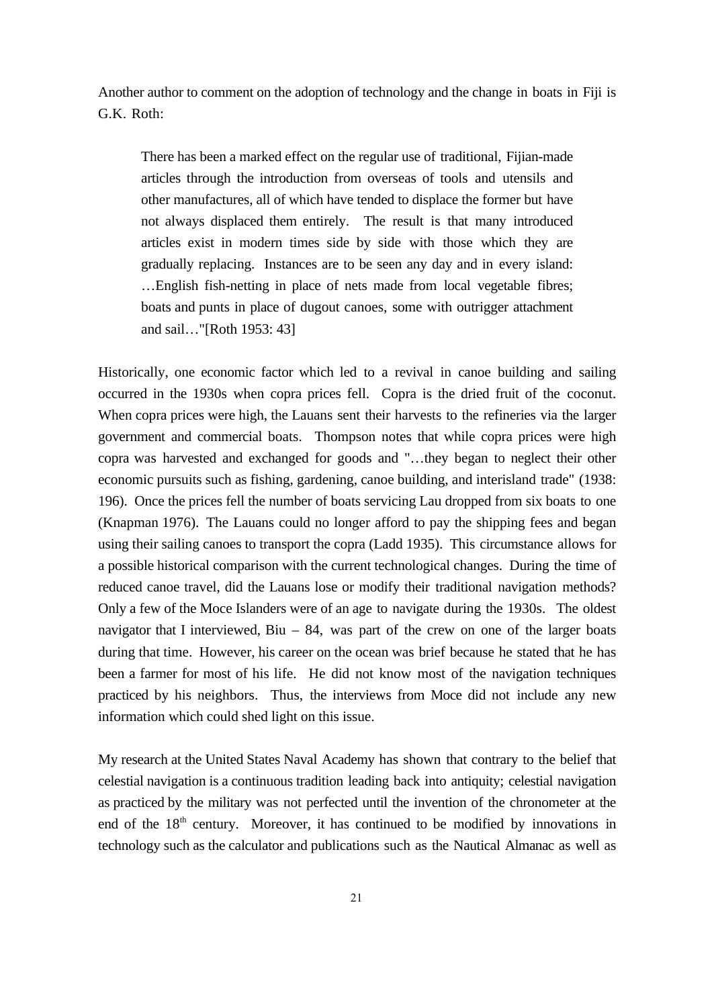Another author to comment on the adoption of technology and the change in boats in Fiji is G.K. Roth:

There has been a marked effect on the regular use of traditional, Fijian-made articles through the introduction from overseas of tools and utensils and other manufactures, all of which have tended to displace the former but have not always displaced them entirely. The result is that many introduced articles exist in modern times side by side with those which they are gradually replacing. Instances are to be seen any day and in every island: …English fish-netting in place of nets made from local vegetable fibres; boats and punts in place of dugout canoes, some with outrigger attachment and sail…"[Roth 1953: 43]

Historically, one economic factor which led to a revival in canoe building and sailing occurred in the 1930s when copra prices fell. Copra is the dried fruit of the coconut. When copra prices were high, the Lauans sent their harvests to the refineries via the larger government and commercial boats. Thompson notes that while copra prices were high copra was harvested and exchanged for goods and "…they began to neglect their other economic pursuits such as fishing, gardening, canoe building, and interisland trade" (1938: 196). Once the prices fell the number of boats servicing Lau dropped from six boats to one (Knapman 1976). The Lauans could no longer afford to pay the shipping fees and began using their sailing canoes to transport the copra (Ladd 1935). This circumstance allows for a possible historical comparison with the current technological changes. During the time of reduced canoe travel, did the Lauans lose or modify their traditional navigation methods? Only a few of the Moce Islanders were of an age to navigate during the 1930s. The oldest navigator that I interviewed, Biu  $-84$ , was part of the crew on one of the larger boats during that time. However, his career on the ocean was brief because he stated that he has been a farmer for most of his life. He did not know most of the navigation techniques practiced by his neighbors. Thus, the interviews from Moce did not include any new information which could shed light on this issue.

My research at the United States Naval Academy has shown that contrary to the belief that celestial navigation is a continuous tradition leading back into antiquity; celestial navigation as practiced by the military was not perfected until the invention of the chronometer at the end of the  $18<sup>th</sup>$  century. Moreover, it has continued to be modified by innovations in technology such as the calculator and publications such as the Nautical Almanac as well as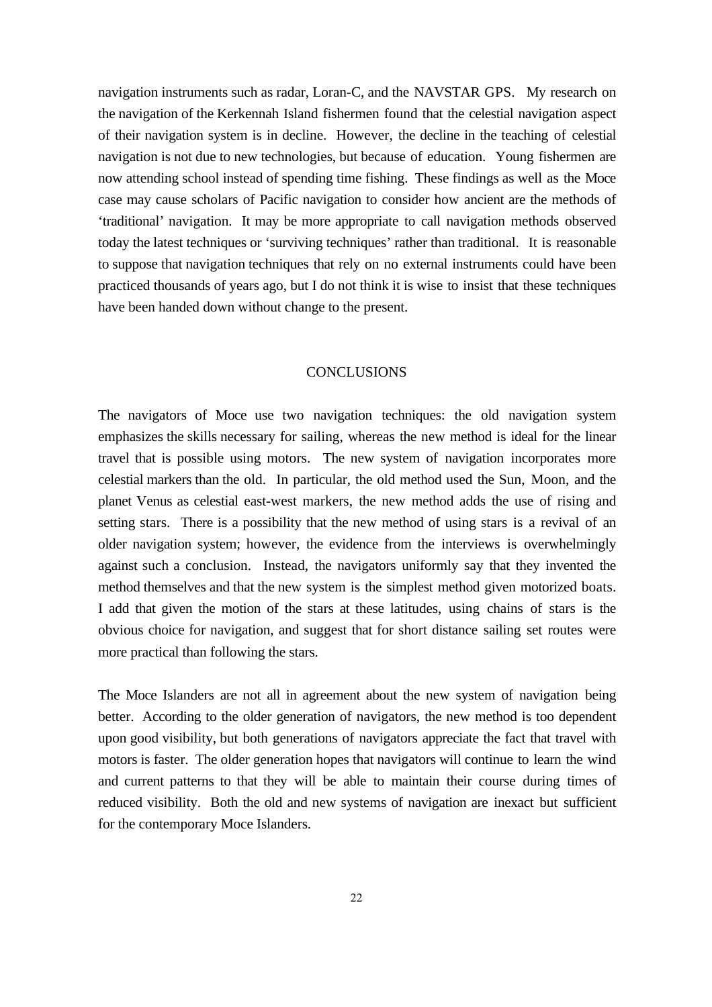navigation instruments such as radar, Loran-C, and the NAVSTAR GPS. My research on the navigation of the Kerkennah Island fishermen found that the celestial navigation aspect of their navigation system is in decline. However, the decline in the teaching of celestial navigation is not due to new technologies, but because of education. Young fishermen are now attending school instead of spending time fishing. These findings as well as the Moce case may cause scholars of Pacific navigation to consider how ancient are the methods of 'traditional' navigation. It may be more appropriate to call navigation methods observed today the latest techniques or 'surviving techniques' rather than traditional. It is reasonable to suppose that navigation techniques that rely on no external instruments could have been practiced thousands of years ago, but I do not think it is wise to insist that these techniques have been handed down without change to the present.

#### **CONCLUSIONS**

The navigators of Moce use two navigation techniques: the old navigation system emphasizes the skills necessary for sailing, whereas the new method is ideal for the linear travel that is possible using motors. The new system of navigation incorporates more celestial markers than the old. In particular, the old method used the Sun, Moon, and the planet Venus as celestial east-west markers, the new method adds the use of rising and setting stars. There is a possibility that the new method of using stars is a revival of an older navigation system; however, the evidence from the interviews is overwhelmingly against such a conclusion. Instead, the navigators uniformly say that they invented the method themselves and that the new system is the simplest method given motorized boats. I add that given the motion of the stars at these latitudes, using chains of stars is the obvious choice for navigation, and suggest that for short distance sailing set routes were more practical than following the stars.

The Moce Islanders are not all in agreement about the new system of navigation being better. According to the older generation of navigators, the new method is too dependent upon good visibility, but both generations of navigators appreciate the fact that travel with motors is faster. The older generation hopes that navigators will continue to learn the wind and current patterns to that they will be able to maintain their course during times of reduced visibility. Both the old and new systems of navigation are inexact but sufficient for the contemporary Moce Islanders.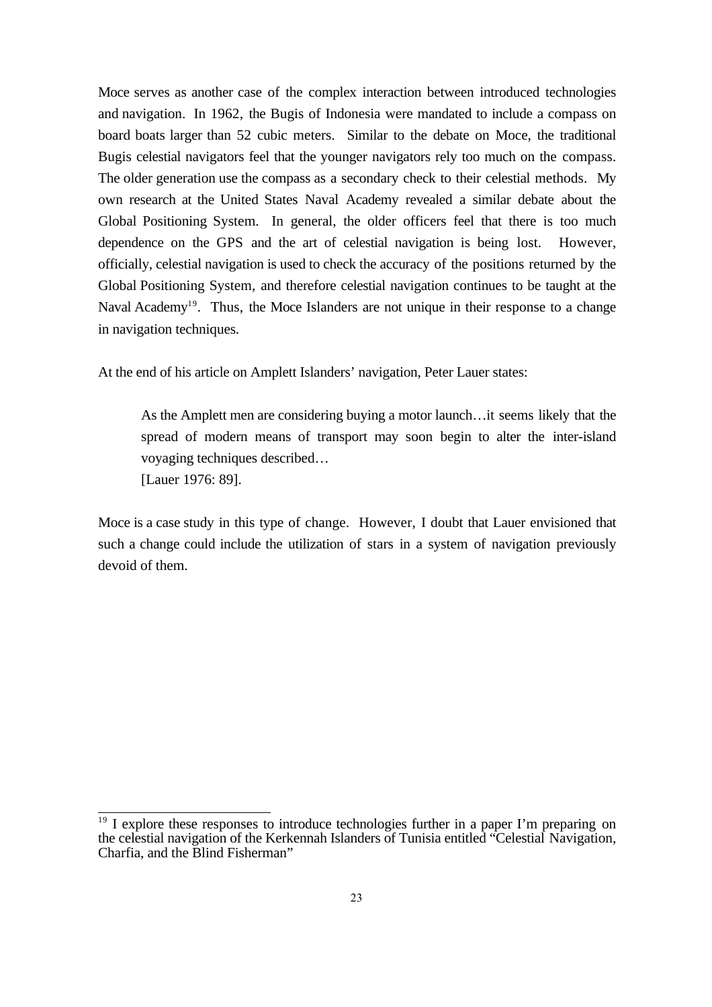Moce serves as another case of the complex interaction between introduced technologies and navigation. In 1962, the Bugis of Indonesia were mandated to include a compass on board boats larger than 52 cubic meters. Similar to the debate on Moce, the traditional Bugis celestial navigators feel that the younger navigators rely too much on the compass. The older generation use the compass as a secondary check to their celestial methods. My own research at the United States Naval Academy revealed a similar debate about the Global Positioning System. In general, the older officers feel that there is too much dependence on the GPS and the art of celestial navigation is being lost. However, officially, celestial navigation is used to check the accuracy of the positions returned by the Global Positioning System, and therefore celestial navigation continues to be taught at the Naval Academy<sup>19</sup>. Thus, the Moce Islanders are not unique in their response to a change in navigation techniques.

At the end of his article on Amplett Islanders' navigation, Peter Lauer states:

As the Amplett men are considering buying a motor launch…it seems likely that the spread of modern means of transport may soon begin to alter the inter-island voyaging techniques described…

[Lauer 1976: 89].

Moce is a case study in this type of change. However, I doubt that Lauer envisioned that such a change could include the utilization of stars in a system of navigation previously devoid of them.

 $\overline{a}$ <sup>19</sup> I explore these responses to introduce technologies further in a paper I'm preparing on the celestial navigation of the Kerkennah Islanders of Tunisia entitled "Celestial Navigation, Charfia, and the Blind Fisherman"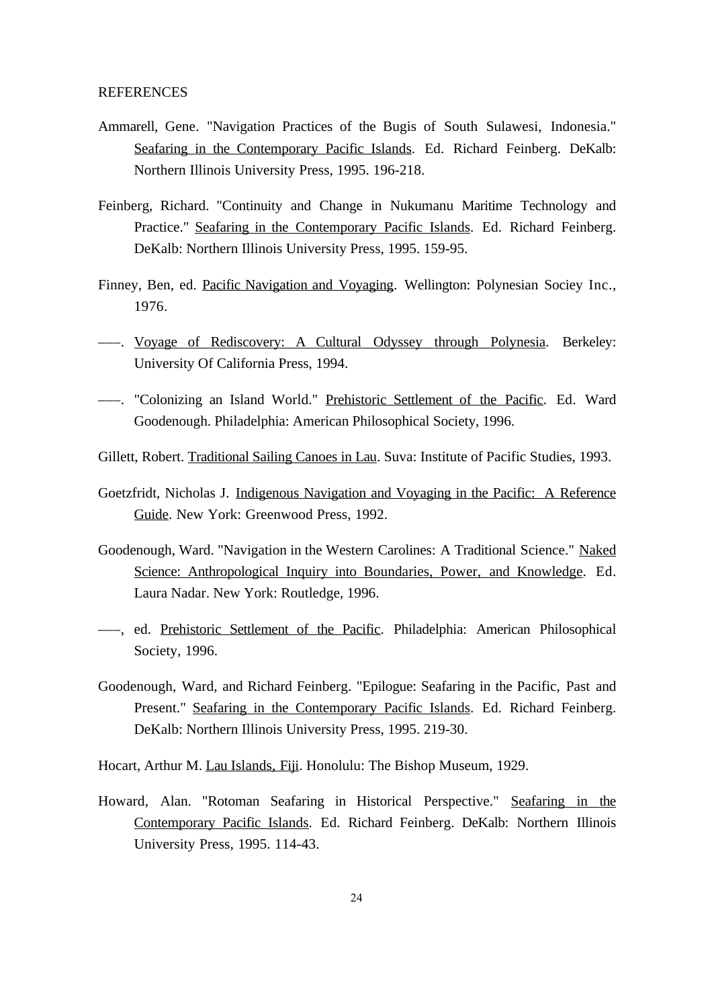### REFERENCES

- Ammarell, Gene. "Navigation Practices of the Bugis of South Sulawesi, Indonesia." Seafaring in the Contemporary Pacific Islands. Ed. Richard Feinberg. DeKalb: Northern Illinois University Press, 1995. 196-218.
- Feinberg, Richard. "Continuity and Change in Nukumanu Maritime Technology and Practice." Seafaring in the Contemporary Pacific Islands. Ed. Richard Feinberg. DeKalb: Northern Illinois University Press, 1995. 159-95.
- Finney, Ben, ed. Pacific Navigation and Voyaging. Wellington: Polynesian Sociey Inc., 1976.
- –––. Voyage of Rediscovery: A Cultural Odyssey through Polynesia . Berkeley: University Of California Press, 1994.
- ---. "Colonizing an Island World." Prehistoric Settlement of the Pacific. Ed. Ward Goodenough. Philadelphia: American Philosophical Society, 1996.
- Gillett, Robert. Traditional Sailing Canoes in Lau . Suva: Institute of Pacific Studies, 1993.
- Goetzfridt, Nicholas J. Indigenous Navigation and Voyaging in the Pacific: A Reference Guide. New York: Greenwood Press, 1992.
- Goodenough, Ward. "Navigation in the Western Carolines: A Traditional Science." Naked Science: Anthropological Inquiry into Boundaries, Power, and Knowledge. Ed. Laura Nadar. New York: Routledge, 1996.
- –––, ed. Prehistoric Settlement of the Pacific. Philadelphia: American Philosophical Society, 1996.
- Goodenough, Ward, and Richard Feinberg. "Epilogue: Seafaring in the Pacific, Past and Present." Seafaring in the Contemporary Pacific Islands. Ed. Richard Feinberg. DeKalb: Northern Illinois University Press, 1995. 219-30.
- Hocart, Arthur M. Lau Islands, Fiji. Honolulu: The Bishop Museum, 1929.
- Howard, Alan. "Rotoman Seafaring in Historical Perspective." Seafaring in the Contemporary Pacific Islands. Ed. Richard Feinberg. DeKalb: Northern Illinois University Press, 1995. 114-43.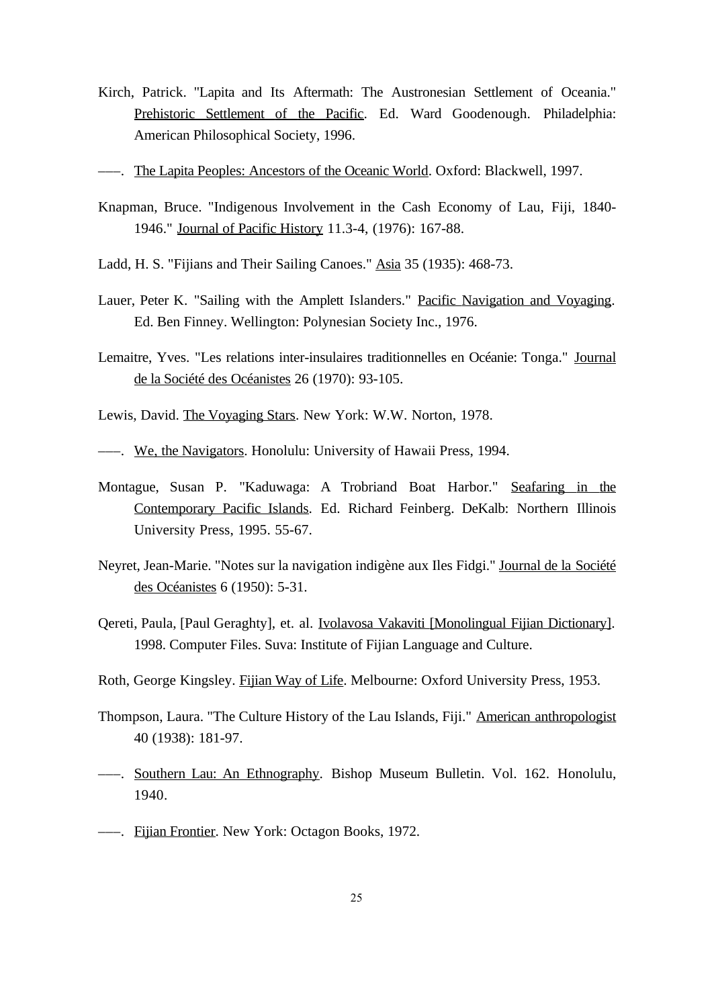- Kirch, Patrick. "Lapita and Its Aftermath: The Austronesian Settlement of Oceania." Prehistoric Settlement of the Pacific. Ed. Ward Goodenough. Philadelphia: American Philosophical Society, 1996.
- <sup>---</sup>. The Lapita Peoples: Ancestors of the Oceanic World. Oxford: Blackwell, 1997.
- Knapman, Bruce. "Indigenous Involvement in the Cash Economy of Lau, Fiji, 1840- 1946." Journal of Pacific History 11.3-4, (1976): 167-88.
- Ladd, H. S. "Fijians and Their Sailing Canoes." Asia 35 (1935): 468-73.
- Lauer, Peter K. "Sailing with the Amplett Islanders." Pacific Navigation and Voyaging. Ed. Ben Finney. Wellington: Polynesian Society Inc., 1976.
- Lemaitre, Yves. "Les relations inter-insulaires traditionnelles en Océanie: Tonga." Journal de la Société des Océanistes 26 (1970): 93-105.
- Lewis, David. The Voyaging Stars. New York: W.W. Norton, 1978.
- --- We, the Navigators. Honolulu: University of Hawaii Press, 1994.
- Montague, Susan P. "Kaduwaga: A Trobriand Boat Harbor." Seafaring in the Contemporary Pacific Islands. Ed. Richard Feinberg. DeKalb: Northern Illinois University Press, 1995. 55-67.
- Neyret, Jean-Marie. "Notes sur la navigation indigène aux Iles Fidgi." Journal de la Société des Océanistes 6 (1950): 5-31.
- Qereti, Paula, [Paul Geraghty], et. al. Ivolavosa Vakaviti [Monolingual Fijian Dictionary] . 1998. Computer Files. Suva: Institute of Fijian Language and Culture.
- Roth, George Kingsley. Fijian Way of Life. Melbourne: Oxford University Press, 1953.
- Thompson, Laura. "The Culture History of the Lau Islands, Fiji." American anthropologist 40 (1938): 181-97.
- ---. Southern Lau: An Ethnography. Bishop Museum Bulletin. Vol. 162. Honolulu, 1940.
- –––. Fijian Frontier . New York: Octagon Books, 1972.